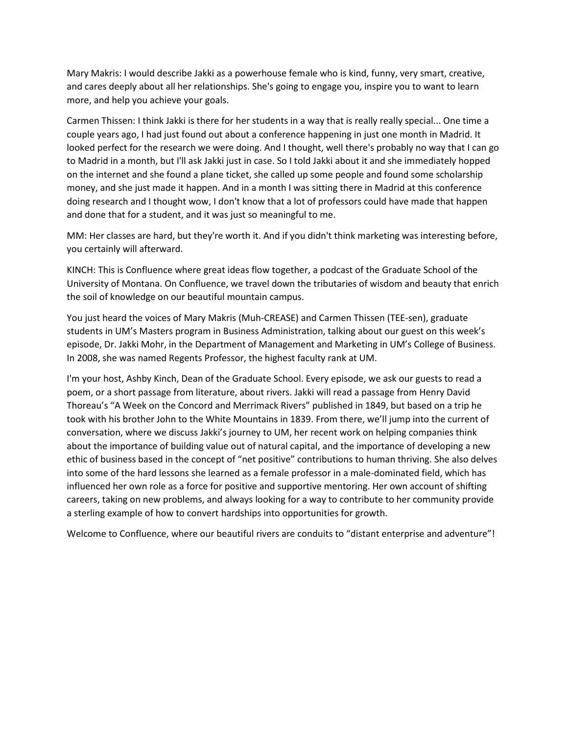Mary Makris: I would describe Jakki as a powerhouse female who is kind, funny, very smart, creative, and cares deeply about all her relationships. She's going to engage you, inspire you to want to learn more, and help you achieve your goals.

Carmen Thissen: I think Jakki is there for her students in a way that is really really special... One time a couple years ago, I had just found out about a conference happening in just one month in Madrid. It looked perfect for the research we were doing. And I thought, well there's probably no way that I can go to Madrid in a month, but I'll ask Jakki just in case. So I told Jakki about it and she immediately hopped on the internet and she found a plane ticket, she called up some people and found some scholarship money, and she just made it happen. And in a month I was sitting there in Madrid at this conference doing research and I thought wow, I don't know that a lot of professors could have made that happen and done that for a student, and it was just so meaningful to me.

MM: Her classes are hard, but they're worth it. And if you didn't think marketing was interesting before, you certainly will afterward.

KINCH: This is Confluence where great ideas flow together, a podcast of the Graduate School of the University of Montana. On Confluence, we travel down the tributaries of wisdom and beauty that enrich the soil of knowledge on our beautiful mountain campus.

You just heard the voices of Mary Makris (Muh-CREASE) and Carmen Thissen (TEE-sen), graduate students in UM's Masters program in Business Administration, talking about our guest on this week's episode, Dr. Jakki Mohr, in the Department of Management and Marketing in UM's College of Business. In 2008, she was named Regents Professor, the highest faculty rank at UM.

I'm your host, Ashby Kinch, Dean of the Graduate School. Every episode, we ask our guests to read a poem, or a short passage from literature, about rivers. Jakki will read a passage from Henry David Thoreau's "A Week on the Concord and Merrimack Rivers" published in 1849, but based on a trip he took with his brother John to the White Mountains in 1839. From there, we'll jump into the current of conversation, where we discuss Jakki's journey to UM, her recent work on helping companies think about the importance of building value out of natural capital, and the importance of developing a new ethic of business based in the concept of "net positive" contributions to human thriving. She also delves into some of the hard lessons she learned as a female professor in a male-dominated field, which has influenced her own role as a force for positive and supportive mentoring. Her own account of shifting careers, taking on new problems, and always looking for a way to contribute to her community provide a sterling example of how to convert hardships into opportunities for growth.

Welcome to Confluence, where our beautiful rivers are conduits to "distant enterprise and adventure"!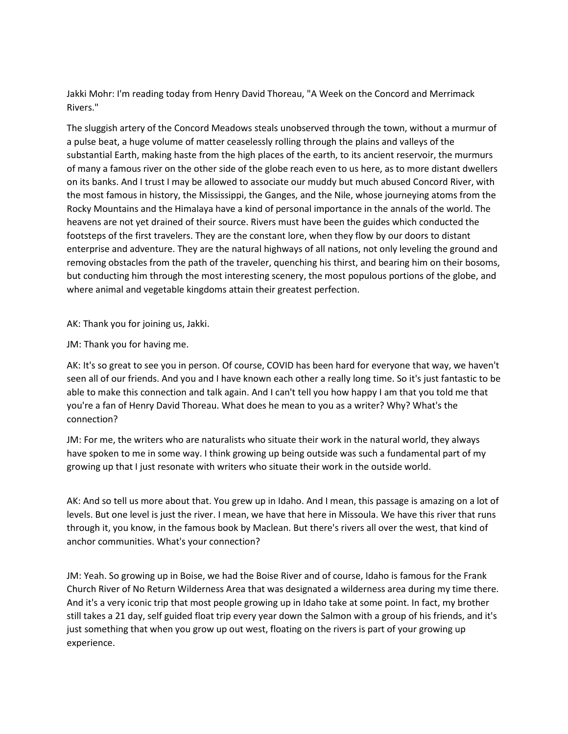Jakki Mohr: I'm reading today from Henry David Thoreau, "A Week on the Concord and Merrimack Rivers."

The sluggish artery of the Concord Meadows steals unobserved through the town, without a murmur of a pulse beat, a huge volume of matter ceaselessly rolling through the plains and valleys of the substantial Earth, making haste from the high places of the earth, to its ancient reservoir, the murmurs of many a famous river on the other side of the globe reach even to us here, as to more distant dwellers on its banks. And I trust I may be allowed to associate our muddy but much abused Concord River, with the most famous in history, the Mississippi, the Ganges, and the Nile, whose journeying atoms from the Rocky Mountains and the Himalaya have a kind of personal importance in the annals of the world. The heavens are not yet drained of their source. Rivers must have been the guides which conducted the footsteps of the first travelers. They are the constant lore, when they flow by our doors to distant enterprise and adventure. They are the natural highways of all nations, not only leveling the ground and removing obstacles from the path of the traveler, quenching his thirst, and bearing him on their bosoms, but conducting him through the most interesting scenery, the most populous portions of the globe, and where animal and vegetable kingdoms attain their greatest perfection.

AK: Thank you for joining us, Jakki.

JM: Thank you for having me.

AK: It's so great to see you in person. Of course, COVID has been hard for everyone that way, we haven't seen all of our friends. And you and I have known each other a really long time. So it's just fantastic to be able to make this connection and talk again. And I can't tell you how happy I am that you told me that you're a fan of Henry David Thoreau. What does he mean to you as a writer? Why? What's the connection?

JM: For me, the writers who are naturalists who situate their work in the natural world, they always have spoken to me in some way. I think growing up being outside was such a fundamental part of my growing up that I just resonate with writers who situate their work in the outside world.

AK: And so tell us more about that. You grew up in Idaho. And I mean, this passage is amazing on a lot of levels. But one level is just the river. I mean, we have that here in Missoula. We have this river that runs through it, you know, in the famous book by Maclean. But there's rivers all over the west, that kind of anchor communities. What's your connection?

JM: Yeah. So growing up in Boise, we had the Boise River and of course, Idaho is famous for the Frank Church River of No Return Wilderness Area that was designated a wilderness area during my time there. And it's a very iconic trip that most people growing up in Idaho take at some point. In fact, my brother still takes a 21 day, self guided float trip every year down the Salmon with a group of his friends, and it's just something that when you grow up out west, floating on the rivers is part of your growing up experience.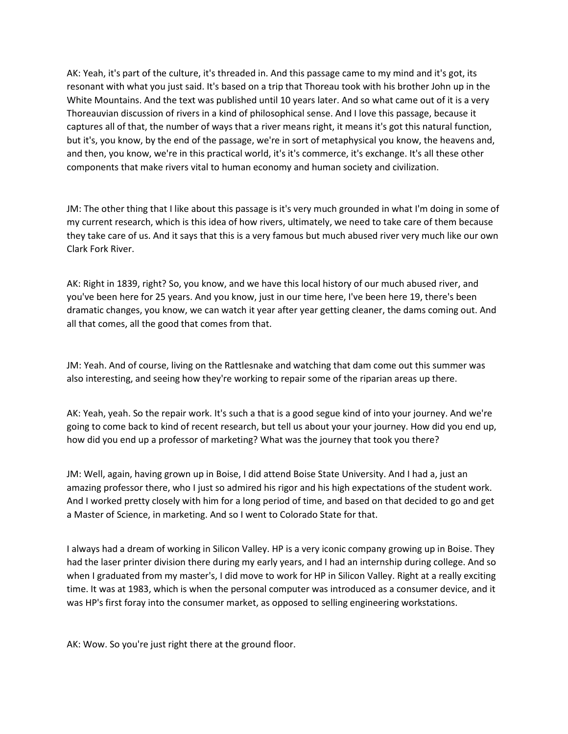AK: Yeah, it's part of the culture, it's threaded in. And this passage came to my mind and it's got, its resonant with what you just said. It's based on a trip that Thoreau took with his brother John up in the White Mountains. And the text was published until 10 years later. And so what came out of it is a very Thoreauvian discussion of rivers in a kind of philosophical sense. And I love this passage, because it captures all of that, the number of ways that a river means right, it means it's got this natural function, but it's, you know, by the end of the passage, we're in sort of metaphysical you know, the heavens and, and then, you know, we're in this practical world, it's it's commerce, it's exchange. It's all these other components that make rivers vital to human economy and human society and civilization.

JM: The other thing that I like about this passage is it's very much grounded in what I'm doing in some of my current research, which is this idea of how rivers, ultimately, we need to take care of them because they take care of us. And it says that this is a very famous but much abused river very much like our own Clark Fork River.

AK: Right in 1839, right? So, you know, and we have this local history of our much abused river, and you've been here for 25 years. And you know, just in our time here, I've been here 19, there's been dramatic changes, you know, we can watch it year after year getting cleaner, the dams coming out. And all that comes, all the good that comes from that.

JM: Yeah. And of course, living on the Rattlesnake and watching that dam come out this summer was also interesting, and seeing how they're working to repair some of the riparian areas up there.

AK: Yeah, yeah. So the repair work. It's such a that is a good segue kind of into your journey. And we're going to come back to kind of recent research, but tell us about your your journey. How did you end up, how did you end up a professor of marketing? What was the journey that took you there?

JM: Well, again, having grown up in Boise, I did attend Boise State University. And I had a, just an amazing professor there, who I just so admired his rigor and his high expectations of the student work. And I worked pretty closely with him for a long period of time, and based on that decided to go and get a Master of Science, in marketing. And so I went to Colorado State for that.

I always had a dream of working in Silicon Valley. HP is a very iconic company growing up in Boise. They had the laser printer division there during my early years, and I had an internship during college. And so when I graduated from my master's, I did move to work for HP in Silicon Valley. Right at a really exciting time. It was at 1983, which is when the personal computer was introduced as a consumer device, and it was HP's first foray into the consumer market, as opposed to selling engineering workstations.

AK: Wow. So you're just right there at the ground floor.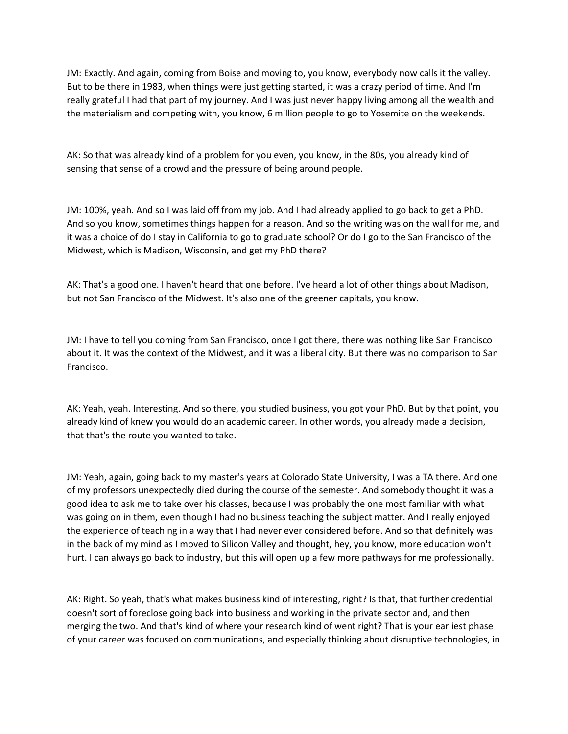JM: Exactly. And again, coming from Boise and moving to, you know, everybody now calls it the valley. But to be there in 1983, when things were just getting started, it was a crazy period of time. And I'm really grateful I had that part of my journey. And I was just never happy living among all the wealth and the materialism and competing with, you know, 6 million people to go to Yosemite on the weekends.

AK: So that was already kind of a problem for you even, you know, in the 80s, you already kind of sensing that sense of a crowd and the pressure of being around people.

JM: 100%, yeah. And so I was laid off from my job. And I had already applied to go back to get a PhD. And so you know, sometimes things happen for a reason. And so the writing was on the wall for me, and it was a choice of do I stay in California to go to graduate school? Or do I go to the San Francisco of the Midwest, which is Madison, Wisconsin, and get my PhD there?

AK: That's a good one. I haven't heard that one before. I've heard a lot of other things about Madison, but not San Francisco of the Midwest. It's also one of the greener capitals, you know.

JM: I have to tell you coming from San Francisco, once I got there, there was nothing like San Francisco about it. It was the context of the Midwest, and it was a liberal city. But there was no comparison to San Francisco.

AK: Yeah, yeah. Interesting. And so there, you studied business, you got your PhD. But by that point, you already kind of knew you would do an academic career. In other words, you already made a decision, that that's the route you wanted to take.

JM: Yeah, again, going back to my master's years at Colorado State University, I was a TA there. And one of my professors unexpectedly died during the course of the semester. And somebody thought it was a good idea to ask me to take over his classes, because I was probably the one most familiar with what was going on in them, even though I had no business teaching the subject matter. And I really enjoyed the experience of teaching in a way that I had never ever considered before. And so that definitely was in the back of my mind as I moved to Silicon Valley and thought, hey, you know, more education won't hurt. I can always go back to industry, but this will open up a few more pathways for me professionally.

AK: Right. So yeah, that's what makes business kind of interesting, right? Is that, that further credential doesn't sort of foreclose going back into business and working in the private sector and, and then merging the two. And that's kind of where your research kind of went right? That is your earliest phase of your career was focused on communications, and especially thinking about disruptive technologies, in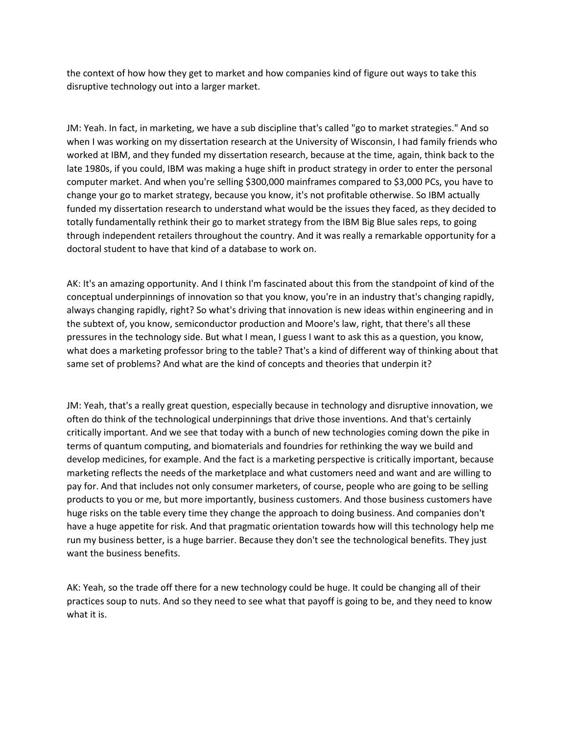the context of how how they get to market and how companies kind of figure out ways to take this disruptive technology out into a larger market.

JM: Yeah. In fact, in marketing, we have a sub discipline that's called "go to market strategies." And so when I was working on my dissertation research at the University of Wisconsin, I had family friends who worked at IBM, and they funded my dissertation research, because at the time, again, think back to the late 1980s, if you could, IBM was making a huge shift in product strategy in order to enter the personal computer market. And when you're selling \$300,000 mainframes compared to \$3,000 PCs, you have to change your go to market strategy, because you know, it's not profitable otherwise. So IBM actually funded my dissertation research to understand what would be the issues they faced, as they decided to totally fundamentally rethink their go to market strategy from the IBM Big Blue sales reps, to going through independent retailers throughout the country. And it was really a remarkable opportunity for a doctoral student to have that kind of a database to work on.

AK: It's an amazing opportunity. And I think I'm fascinated about this from the standpoint of kind of the conceptual underpinnings of innovation so that you know, you're in an industry that's changing rapidly, always changing rapidly, right? So what's driving that innovation is new ideas within engineering and in the subtext of, you know, semiconductor production and Moore's law, right, that there's all these pressures in the technology side. But what I mean, I guess I want to ask this as a question, you know, what does a marketing professor bring to the table? That's a kind of different way of thinking about that same set of problems? And what are the kind of concepts and theories that underpin it?

JM: Yeah, that's a really great question, especially because in technology and disruptive innovation, we often do think of the technological underpinnings that drive those inventions. And that's certainly critically important. And we see that today with a bunch of new technologies coming down the pike in terms of quantum computing, and biomaterials and foundries for rethinking the way we build and develop medicines, for example. And the fact is a marketing perspective is critically important, because marketing reflects the needs of the marketplace and what customers need and want and are willing to pay for. And that includes not only consumer marketers, of course, people who are going to be selling products to you or me, but more importantly, business customers. And those business customers have huge risks on the table every time they change the approach to doing business. And companies don't have a huge appetite for risk. And that pragmatic orientation towards how will this technology help me run my business better, is a huge barrier. Because they don't see the technological benefits. They just want the business benefits.

AK: Yeah, so the trade off there for a new technology could be huge. It could be changing all of their practices soup to nuts. And so they need to see what that payoff is going to be, and they need to know what it is.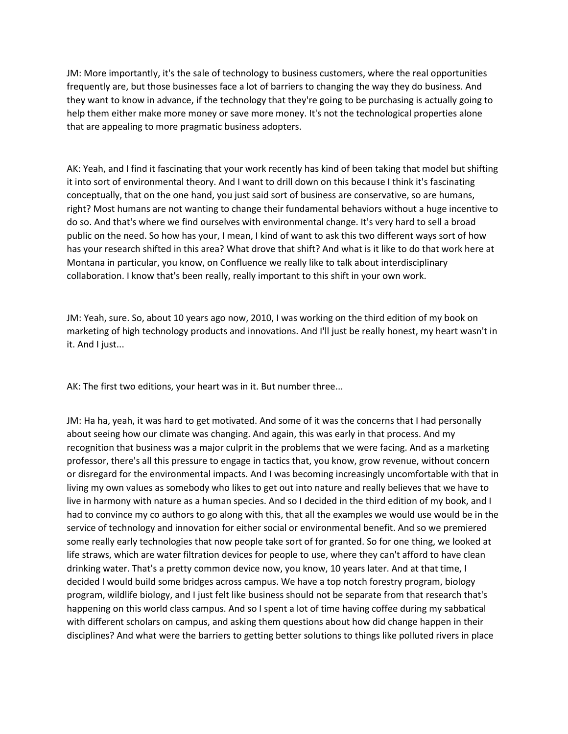JM: More importantly, it's the sale of technology to business customers, where the real opportunities frequently are, but those businesses face a lot of barriers to changing the way they do business. And they want to know in advance, if the technology that they're going to be purchasing is actually going to help them either make more money or save more money. It's not the technological properties alone that are appealing to more pragmatic business adopters.

AK: Yeah, and I find it fascinating that your work recently has kind of been taking that model but shifting it into sort of environmental theory. And I want to drill down on this because I think it's fascinating conceptually, that on the one hand, you just said sort of business are conservative, so are humans, right? Most humans are not wanting to change their fundamental behaviors without a huge incentive to do so. And that's where we find ourselves with environmental change. It's very hard to sell a broad public on the need. So how has your, I mean, I kind of want to ask this two different ways sort of how has your research shifted in this area? What drove that shift? And what is it like to do that work here at Montana in particular, you know, on Confluence we really like to talk about interdisciplinary collaboration. I know that's been really, really important to this shift in your own work.

JM: Yeah, sure. So, about 10 years ago now, 2010, I was working on the third edition of my book on marketing of high technology products and innovations. And I'll just be really honest, my heart wasn't in it. And I just...

AK: The first two editions, your heart was in it. But number three...

JM: Ha ha, yeah, it was hard to get motivated. And some of it was the concerns that I had personally about seeing how our climate was changing. And again, this was early in that process. And my recognition that business was a major culprit in the problems that we were facing. And as a marketing professor, there's all this pressure to engage in tactics that, you know, grow revenue, without concern or disregard for the environmental impacts. And I was becoming increasingly uncomfortable with that in living my own values as somebody who likes to get out into nature and really believes that we have to live in harmony with nature as a human species. And so I decided in the third edition of my book, and I had to convince my co authors to go along with this, that all the examples we would use would be in the service of technology and innovation for either social or environmental benefit. And so we premiered some really early technologies that now people take sort of for granted. So for one thing, we looked at life straws, which are water filtration devices for people to use, where they can't afford to have clean drinking water. That's a pretty common device now, you know, 10 years later. And at that time, I decided I would build some bridges across campus. We have a top notch forestry program, biology program, wildlife biology, and I just felt like business should not be separate from that research that's happening on this world class campus. And so I spent a lot of time having coffee during my sabbatical with different scholars on campus, and asking them questions about how did change happen in their disciplines? And what were the barriers to getting better solutions to things like polluted rivers in place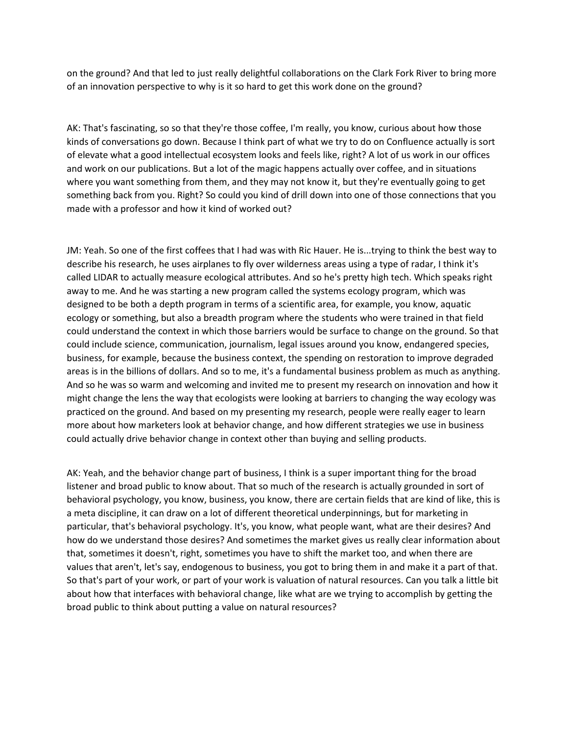on the ground? And that led to just really delightful collaborations on the Clark Fork River to bring more of an innovation perspective to why is it so hard to get this work done on the ground?

AK: That's fascinating, so so that they're those coffee, I'm really, you know, curious about how those kinds of conversations go down. Because I think part of what we try to do on Confluence actually is sort of elevate what a good intellectual ecosystem looks and feels like, right? A lot of us work in our offices and work on our publications. But a lot of the magic happens actually over coffee, and in situations where you want something from them, and they may not know it, but they're eventually going to get something back from you. Right? So could you kind of drill down into one of those connections that you made with a professor and how it kind of worked out?

JM: Yeah. So one of the first coffees that I had was with Ric Hauer. He is...trying to think the best way to describe his research, he uses airplanes to fly over wilderness areas using a type of radar, I think it's called LIDAR to actually measure ecological attributes. And so he's pretty high tech. Which speaks right away to me. And he was starting a new program called the systems ecology program, which was designed to be both a depth program in terms of a scientific area, for example, you know, aquatic ecology or something, but also a breadth program where the students who were trained in that field could understand the context in which those barriers would be surface to change on the ground. So that could include science, communication, journalism, legal issues around you know, endangered species, business, for example, because the business context, the spending on restoration to improve degraded areas is in the billions of dollars. And so to me, it's a fundamental business problem as much as anything. And so he was so warm and welcoming and invited me to present my research on innovation and how it might change the lens the way that ecologists were looking at barriers to changing the way ecology was practiced on the ground. And based on my presenting my research, people were really eager to learn more about how marketers look at behavior change, and how different strategies we use in business could actually drive behavior change in context other than buying and selling products.

AK: Yeah, and the behavior change part of business, I think is a super important thing for the broad listener and broad public to know about. That so much of the research is actually grounded in sort of behavioral psychology, you know, business, you know, there are certain fields that are kind of like, this is a meta discipline, it can draw on a lot of different theoretical underpinnings, but for marketing in particular, that's behavioral psychology. It's, you know, what people want, what are their desires? And how do we understand those desires? And sometimes the market gives us really clear information about that, sometimes it doesn't, right, sometimes you have to shift the market too, and when there are values that aren't, let's say, endogenous to business, you got to bring them in and make it a part of that. So that's part of your work, or part of your work is valuation of natural resources. Can you talk a little bit about how that interfaces with behavioral change, like what are we trying to accomplish by getting the broad public to think about putting a value on natural resources?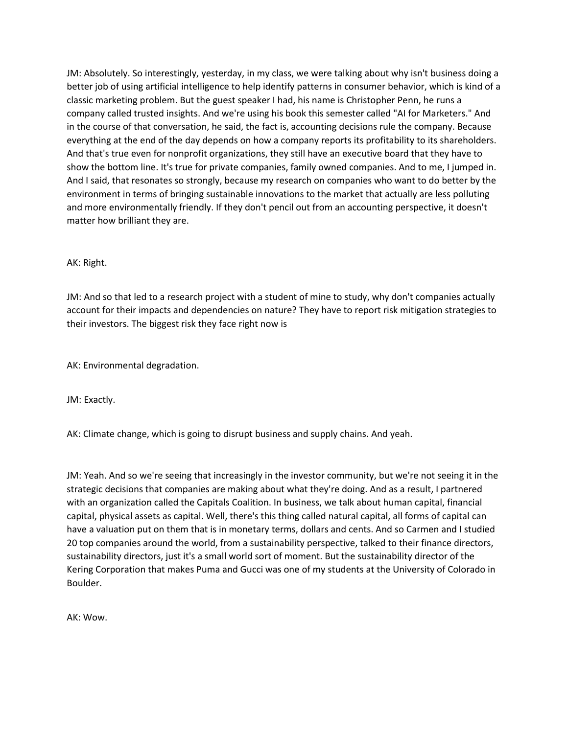JM: Absolutely. So interestingly, yesterday, in my class, we were talking about why isn't business doing a better job of using artificial intelligence to help identify patterns in consumer behavior, which is kind of a classic marketing problem. But the guest speaker I had, his name is Christopher Penn, he runs a company called trusted insights. And we're using his book this semester called "AI for Marketers." And in the course of that conversation, he said, the fact is, accounting decisions rule the company. Because everything at the end of the day depends on how a company reports its profitability to its shareholders. And that's true even for nonprofit organizations, they still have an executive board that they have to show the bottom line. It's true for private companies, family owned companies. And to me, I jumped in. And I said, that resonates so strongly, because my research on companies who want to do better by the environment in terms of bringing sustainable innovations to the market that actually are less polluting and more environmentally friendly. If they don't pencil out from an accounting perspective, it doesn't matter how brilliant they are.

## AK: Right.

JM: And so that led to a research project with a student of mine to study, why don't companies actually account for their impacts and dependencies on nature? They have to report risk mitigation strategies to their investors. The biggest risk they face right now is

AK: Environmental degradation.

JM: Exactly.

AK: Climate change, which is going to disrupt business and supply chains. And yeah.

JM: Yeah. And so we're seeing that increasingly in the investor community, but we're not seeing it in the strategic decisions that companies are making about what they're doing. And as a result, I partnered with an organization called the Capitals Coalition. In business, we talk about human capital, financial capital, physical assets as capital. Well, there's this thing called natural capital, all forms of capital can have a valuation put on them that is in monetary terms, dollars and cents. And so Carmen and I studied 20 top companies around the world, from a sustainability perspective, talked to their finance directors, sustainability directors, just it's a small world sort of moment. But the sustainability director of the Kering Corporation that makes Puma and Gucci was one of my students at the University of Colorado in Boulder.

AK: Wow.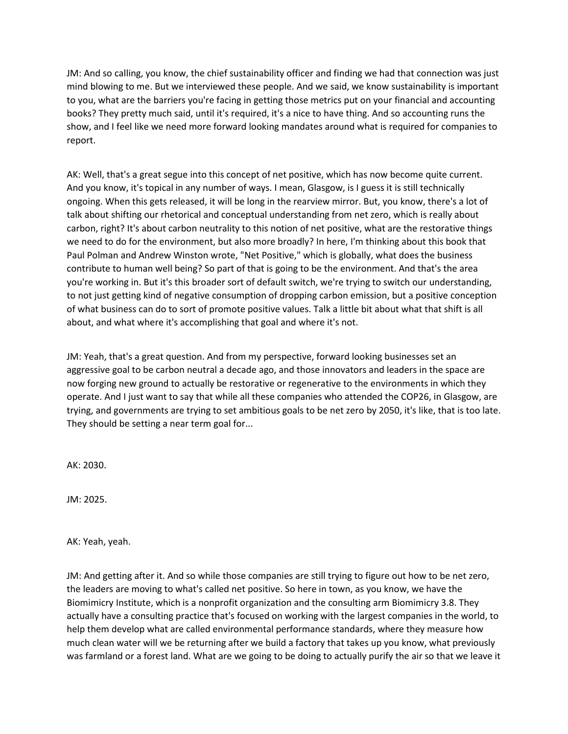JM: And so calling, you know, the chief sustainability officer and finding we had that connection was just mind blowing to me. But we interviewed these people. And we said, we know sustainability is important to you, what are the barriers you're facing in getting those metrics put on your financial and accounting books? They pretty much said, until it's required, it's a nice to have thing. And so accounting runs the show, and I feel like we need more forward looking mandates around what is required for companies to report.

AK: Well, that's a great segue into this concept of net positive, which has now become quite current. And you know, it's topical in any number of ways. I mean, Glasgow, is I guess it is still technically ongoing. When this gets released, it will be long in the rearview mirror. But, you know, there's a lot of talk about shifting our rhetorical and conceptual understanding from net zero, which is really about carbon, right? It's about carbon neutrality to this notion of net positive, what are the restorative things we need to do for the environment, but also more broadly? In here, I'm thinking about this book that Paul Polman and Andrew Winston wrote, "Net Positive," which is globally, what does the business contribute to human well being? So part of that is going to be the environment. And that's the area you're working in. But it's this broader sort of default switch, we're trying to switch our understanding, to not just getting kind of negative consumption of dropping carbon emission, but a positive conception of what business can do to sort of promote positive values. Talk a little bit about what that shift is all about, and what where it's accomplishing that goal and where it's not.

JM: Yeah, that's a great question. And from my perspective, forward looking businesses set an aggressive goal to be carbon neutral a decade ago, and those innovators and leaders in the space are now forging new ground to actually be restorative or regenerative to the environments in which they operate. And I just want to say that while all these companies who attended the COP26, in Glasgow, are trying, and governments are trying to set ambitious goals to be net zero by 2050, it's like, that is too late. They should be setting a near term goal for...

AK: 2030.

JM: 2025.

AK: Yeah, yeah.

JM: And getting after it. And so while those companies are still trying to figure out how to be net zero, the leaders are moving to what's called net positive. So here in town, as you know, we have the Biomimicry Institute, which is a nonprofit organization and the consulting arm Biomimicry 3.8. They actually have a consulting practice that's focused on working with the largest companies in the world, to help them develop what are called environmental performance standards, where they measure how much clean water will we be returning after we build a factory that takes up you know, what previously was farmland or a forest land. What are we going to be doing to actually purify the air so that we leave it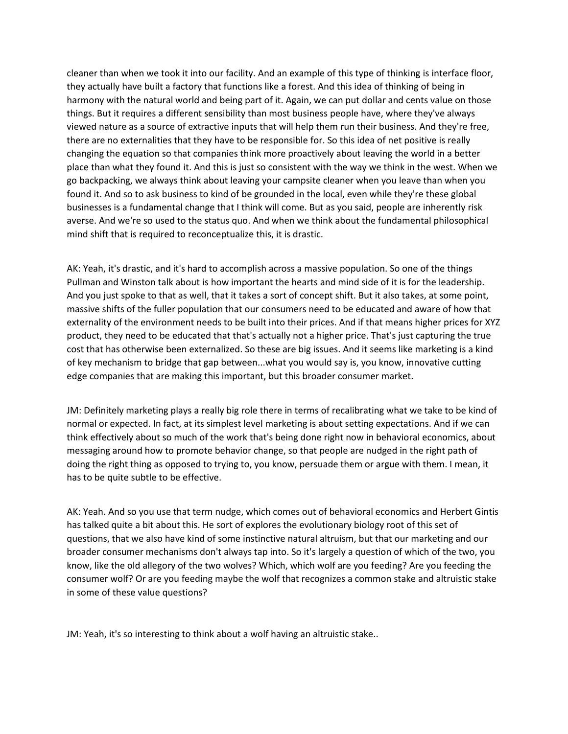cleaner than when we took it into our facility. And an example of this type of thinking is interface floor, they actually have built a factory that functions like a forest. And this idea of thinking of being in harmony with the natural world and being part of it. Again, we can put dollar and cents value on those things. But it requires a different sensibility than most business people have, where they've always viewed nature as a source of extractive inputs that will help them run their business. And they're free, there are no externalities that they have to be responsible for. So this idea of net positive is really changing the equation so that companies think more proactively about leaving the world in a better place than what they found it. And this is just so consistent with the way we think in the west. When we go backpacking, we always think about leaving your campsite cleaner when you leave than when you found it. And so to ask business to kind of be grounded in the local, even while they're these global businesses is a fundamental change that I think will come. But as you said, people are inherently risk averse. And we're so used to the status quo. And when we think about the fundamental philosophical mind shift that is required to reconceptualize this, it is drastic.

AK: Yeah, it's drastic, and it's hard to accomplish across a massive population. So one of the things Pullman and Winston talk about is how important the hearts and mind side of it is for the leadership. And you just spoke to that as well, that it takes a sort of concept shift. But it also takes, at some point, massive shifts of the fuller population that our consumers need to be educated and aware of how that externality of the environment needs to be built into their prices. And if that means higher prices for XYZ product, they need to be educated that that's actually not a higher price. That's just capturing the true cost that has otherwise been externalized. So these are big issues. And it seems like marketing is a kind of key mechanism to bridge that gap between...what you would say is, you know, innovative cutting edge companies that are making this important, but this broader consumer market.

JM: Definitely marketing plays a really big role there in terms of recalibrating what we take to be kind of normal or expected. In fact, at its simplest level marketing is about setting expectations. And if we can think effectively about so much of the work that's being done right now in behavioral economics, about messaging around how to promote behavior change, so that people are nudged in the right path of doing the right thing as opposed to trying to, you know, persuade them or argue with them. I mean, it has to be quite subtle to be effective.

AK: Yeah. And so you use that term nudge, which comes out of behavioral economics and Herbert Gintis has talked quite a bit about this. He sort of explores the evolutionary biology root of this set of questions, that we also have kind of some instinctive natural altruism, but that our marketing and our broader consumer mechanisms don't always tap into. So it's largely a question of which of the two, you know, like the old allegory of the two wolves? Which, which wolf are you feeding? Are you feeding the consumer wolf? Or are you feeding maybe the wolf that recognizes a common stake and altruistic stake in some of these value questions?

JM: Yeah, it's so interesting to think about a wolf having an altruistic stake..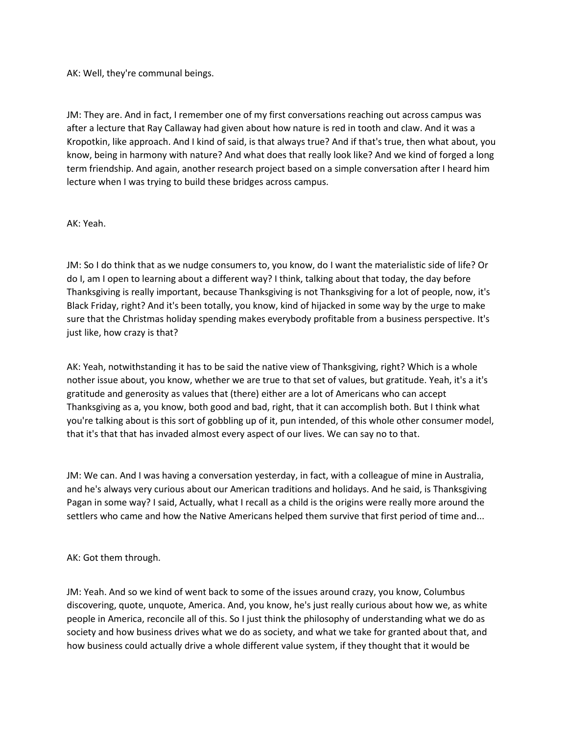AK: Well, they're communal beings.

JM: They are. And in fact, I remember one of my first conversations reaching out across campus was after a lecture that Ray Callaway had given about how nature is red in tooth and claw. And it was a Kropotkin, like approach. And I kind of said, is that always true? And if that's true, then what about, you know, being in harmony with nature? And what does that really look like? And we kind of forged a long term friendship. And again, another research project based on a simple conversation after I heard him lecture when I was trying to build these bridges across campus.

AK: Yeah.

JM: So I do think that as we nudge consumers to, you know, do I want the materialistic side of life? Or do I, am I open to learning about a different way? I think, talking about that today, the day before Thanksgiving is really important, because Thanksgiving is not Thanksgiving for a lot of people, now, it's Black Friday, right? And it's been totally, you know, kind of hijacked in some way by the urge to make sure that the Christmas holiday spending makes everybody profitable from a business perspective. It's just like, how crazy is that?

AK: Yeah, notwithstanding it has to be said the native view of Thanksgiving, right? Which is a whole nother issue about, you know, whether we are true to that set of values, but gratitude. Yeah, it's a it's gratitude and generosity as values that (there) either are a lot of Americans who can accept Thanksgiving as a, you know, both good and bad, right, that it can accomplish both. But I think what you're talking about is this sort of gobbling up of it, pun intended, of this whole other consumer model, that it's that that has invaded almost every aspect of our lives. We can say no to that.

JM: We can. And I was having a conversation yesterday, in fact, with a colleague of mine in Australia, and he's always very curious about our American traditions and holidays. And he said, is Thanksgiving Pagan in some way? I said, Actually, what I recall as a child is the origins were really more around the settlers who came and how the Native Americans helped them survive that first period of time and...

AK: Got them through.

JM: Yeah. And so we kind of went back to some of the issues around crazy, you know, Columbus discovering, quote, unquote, America. And, you know, he's just really curious about how we, as white people in America, reconcile all of this. So I just think the philosophy of understanding what we do as society and how business drives what we do as society, and what we take for granted about that, and how business could actually drive a whole different value system, if they thought that it would be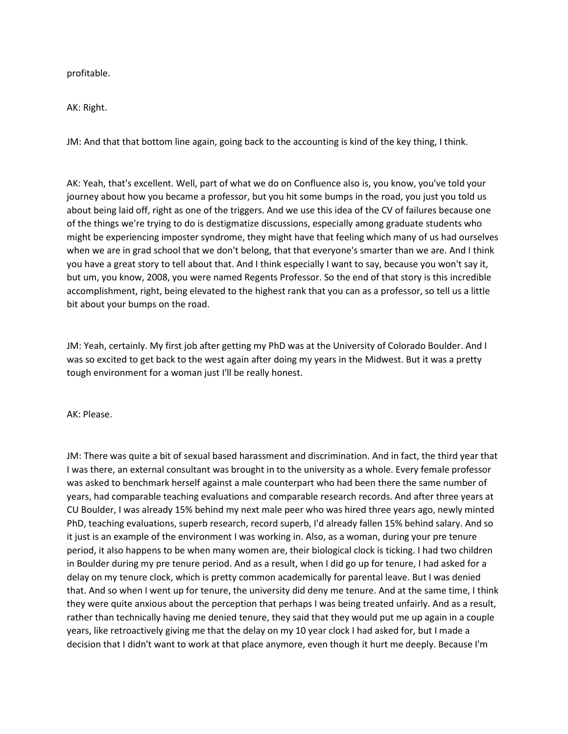profitable.

AK: Right.

JM: And that that bottom line again, going back to the accounting is kind of the key thing, I think.

AK: Yeah, that's excellent. Well, part of what we do on Confluence also is, you know, you've told your journey about how you became a professor, but you hit some bumps in the road, you just you told us about being laid off, right as one of the triggers. And we use this idea of the CV of failures because one of the things we're trying to do is destigmatize discussions, especially among graduate students who might be experiencing imposter syndrome, they might have that feeling which many of us had ourselves when we are in grad school that we don't belong, that that everyone's smarter than we are. And I think you have a great story to tell about that. And I think especially I want to say, because you won't say it, but um, you know, 2008, you were named Regents Professor. So the end of that story is this incredible accomplishment, right, being elevated to the highest rank that you can as a professor, so tell us a little bit about your bumps on the road.

JM: Yeah, certainly. My first job after getting my PhD was at the University of Colorado Boulder. And I was so excited to get back to the west again after doing my years in the Midwest. But it was a pretty tough environment for a woman just I'll be really honest.

AK: Please.

JM: There was quite a bit of sexual based harassment and discrimination. And in fact, the third year that I was there, an external consultant was brought in to the university as a whole. Every female professor was asked to benchmark herself against a male counterpart who had been there the same number of years, had comparable teaching evaluations and comparable research records. And after three years at CU Boulder, I was already 15% behind my next male peer who was hired three years ago, newly minted PhD, teaching evaluations, superb research, record superb, I'd already fallen 15% behind salary. And so it just is an example of the environment I was working in. Also, as a woman, during your pre tenure period, it also happens to be when many women are, their biological clock is ticking. I had two children in Boulder during my pre tenure period. And as a result, when I did go up for tenure, I had asked for a delay on my tenure clock, which is pretty common academically for parental leave. But I was denied that. And so when I went up for tenure, the university did deny me tenure. And at the same time, I think they were quite anxious about the perception that perhaps I was being treated unfairly. And as a result, rather than technically having me denied tenure, they said that they would put me up again in a couple years, like retroactively giving me that the delay on my 10 year clock I had asked for, but I made a decision that I didn't want to work at that place anymore, even though it hurt me deeply. Because I'm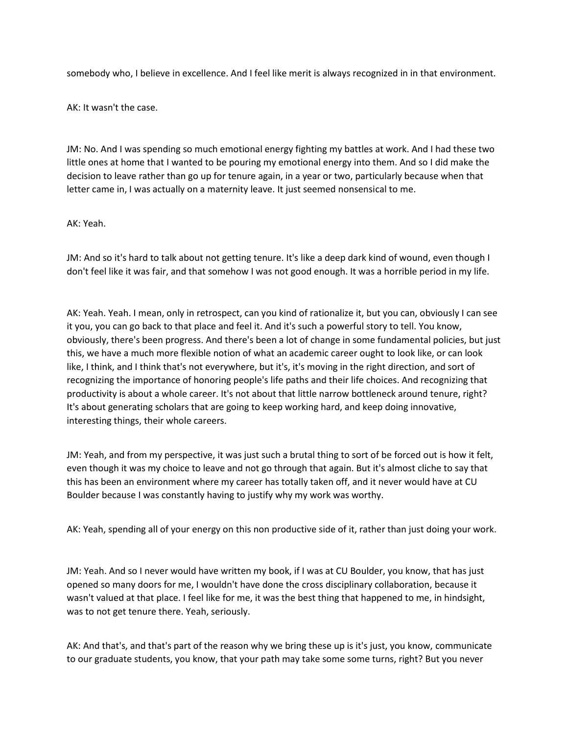somebody who, I believe in excellence. And I feel like merit is always recognized in in that environment.

AK: It wasn't the case.

JM: No. And I was spending so much emotional energy fighting my battles at work. And I had these two little ones at home that I wanted to be pouring my emotional energy into them. And so I did make the decision to leave rather than go up for tenure again, in a year or two, particularly because when that letter came in, I was actually on a maternity leave. It just seemed nonsensical to me.

## AK: Yeah.

JM: And so it's hard to talk about not getting tenure. It's like a deep dark kind of wound, even though I don't feel like it was fair, and that somehow I was not good enough. It was a horrible period in my life.

AK: Yeah. Yeah. I mean, only in retrospect, can you kind of rationalize it, but you can, obviously I can see it you, you can go back to that place and feel it. And it's such a powerful story to tell. You know, obviously, there's been progress. And there's been a lot of change in some fundamental policies, but just this, we have a much more flexible notion of what an academic career ought to look like, or can look like, I think, and I think that's not everywhere, but it's, it's moving in the right direction, and sort of recognizing the importance of honoring people's life paths and their life choices. And recognizing that productivity is about a whole career. It's not about that little narrow bottleneck around tenure, right? It's about generating scholars that are going to keep working hard, and keep doing innovative, interesting things, their whole careers.

JM: Yeah, and from my perspective, it was just such a brutal thing to sort of be forced out is how it felt, even though it was my choice to leave and not go through that again. But it's almost cliche to say that this has been an environment where my career has totally taken off, and it never would have at CU Boulder because I was constantly having to justify why my work was worthy.

AK: Yeah, spending all of your energy on this non productive side of it, rather than just doing your work.

JM: Yeah. And so I never would have written my book, if I was at CU Boulder, you know, that has just opened so many doors for me, I wouldn't have done the cross disciplinary collaboration, because it wasn't valued at that place. I feel like for me, it was the best thing that happened to me, in hindsight, was to not get tenure there. Yeah, seriously.

AK: And that's, and that's part of the reason why we bring these up is it's just, you know, communicate to our graduate students, you know, that your path may take some some turns, right? But you never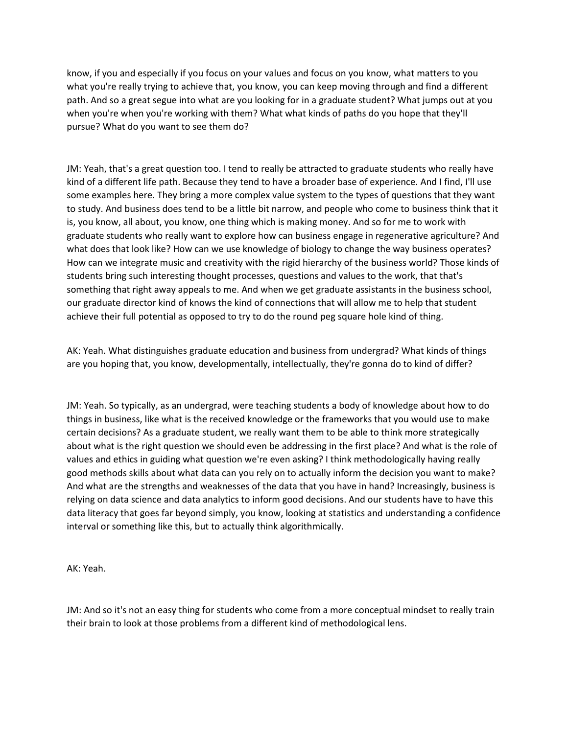know, if you and especially if you focus on your values and focus on you know, what matters to you what you're really trying to achieve that, you know, you can keep moving through and find a different path. And so a great segue into what are you looking for in a graduate student? What jumps out at you when you're when you're working with them? What what kinds of paths do you hope that they'll pursue? What do you want to see them do?

JM: Yeah, that's a great question too. I tend to really be attracted to graduate students who really have kind of a different life path. Because they tend to have a broader base of experience. And I find, I'll use some examples here. They bring a more complex value system to the types of questions that they want to study. And business does tend to be a little bit narrow, and people who come to business think that it is, you know, all about, you know, one thing which is making money. And so for me to work with graduate students who really want to explore how can business engage in regenerative agriculture? And what does that look like? How can we use knowledge of biology to change the way business operates? How can we integrate music and creativity with the rigid hierarchy of the business world? Those kinds of students bring such interesting thought processes, questions and values to the work, that that's something that right away appeals to me. And when we get graduate assistants in the business school, our graduate director kind of knows the kind of connections that will allow me to help that student achieve their full potential as opposed to try to do the round peg square hole kind of thing.

AK: Yeah. What distinguishes graduate education and business from undergrad? What kinds of things are you hoping that, you know, developmentally, intellectually, they're gonna do to kind of differ?

JM: Yeah. So typically, as an undergrad, were teaching students a body of knowledge about how to do things in business, like what is the received knowledge or the frameworks that you would use to make certain decisions? As a graduate student, we really want them to be able to think more strategically about what is the right question we should even be addressing in the first place? And what is the role of values and ethics in guiding what question we're even asking? I think methodologically having really good methods skills about what data can you rely on to actually inform the decision you want to make? And what are the strengths and weaknesses of the data that you have in hand? Increasingly, business is relying on data science and data analytics to inform good decisions. And our students have to have this data literacy that goes far beyond simply, you know, looking at statistics and understanding a confidence interval or something like this, but to actually think algorithmically.

AK: Yeah.

JM: And so it's not an easy thing for students who come from a more conceptual mindset to really train their brain to look at those problems from a different kind of methodological lens.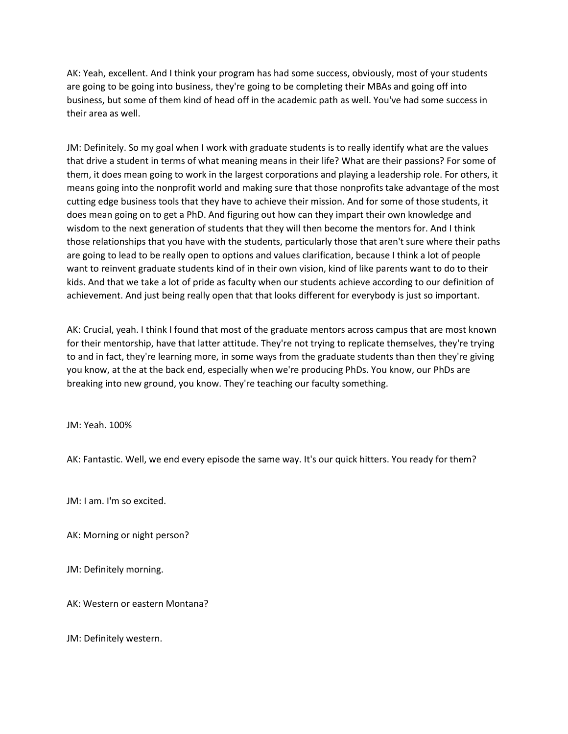AK: Yeah, excellent. And I think your program has had some success, obviously, most of your students are going to be going into business, they're going to be completing their MBAs and going off into business, but some of them kind of head off in the academic path as well. You've had some success in their area as well.

JM: Definitely. So my goal when I work with graduate students is to really identify what are the values that drive a student in terms of what meaning means in their life? What are their passions? For some of them, it does mean going to work in the largest corporations and playing a leadership role. For others, it means going into the nonprofit world and making sure that those nonprofits take advantage of the most cutting edge business tools that they have to achieve their mission. And for some of those students, it does mean going on to get a PhD. And figuring out how can they impart their own knowledge and wisdom to the next generation of students that they will then become the mentors for. And I think those relationships that you have with the students, particularly those that aren't sure where their paths are going to lead to be really open to options and values clarification, because I think a lot of people want to reinvent graduate students kind of in their own vision, kind of like parents want to do to their kids. And that we take a lot of pride as faculty when our students achieve according to our definition of achievement. And just being really open that that looks different for everybody is just so important.

AK: Crucial, yeah. I think I found that most of the graduate mentors across campus that are most known for their mentorship, have that latter attitude. They're not trying to replicate themselves, they're trying to and in fact, they're learning more, in some ways from the graduate students than then they're giving you know, at the at the back end, especially when we're producing PhDs. You know, our PhDs are breaking into new ground, you know. They're teaching our faculty something.

JM: Yeah. 100%

AK: Fantastic. Well, we end every episode the same way. It's our quick hitters. You ready for them?

JM: I am. I'm so excited.

AK: Morning or night person?

JM: Definitely morning.

AK: Western or eastern Montana?

JM: Definitely western.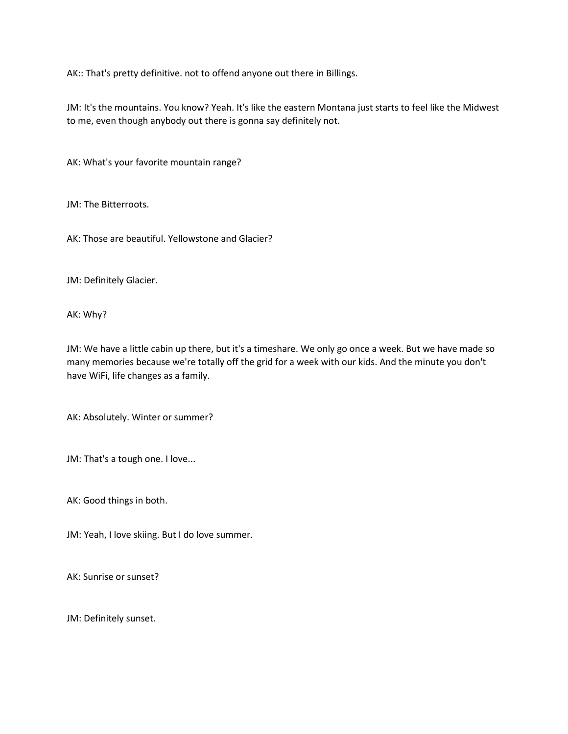AK:: That's pretty definitive. not to offend anyone out there in Billings.

JM: It's the mountains. You know? Yeah. It's like the eastern Montana just starts to feel like the Midwest to me, even though anybody out there is gonna say definitely not.

AK: What's your favorite mountain range?

JM: The Bitterroots.

AK: Those are beautiful. Yellowstone and Glacier?

JM: Definitely Glacier.

AK: Why?

JM: We have a little cabin up there, but it's a timeshare. We only go once a week. But we have made so many memories because we're totally off the grid for a week with our kids. And the minute you don't have WiFi, life changes as a family.

AK: Absolutely. Winter or summer?

JM: That's a tough one. I love...

AK: Good things in both.

JM: Yeah, I love skiing. But I do love summer.

AK: Sunrise or sunset?

JM: Definitely sunset.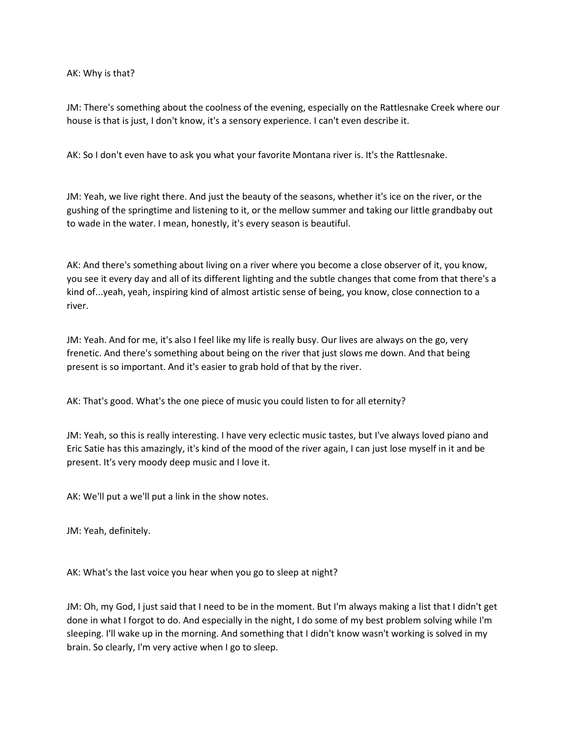AK: Why is that?

JM: There's something about the coolness of the evening, especially on the Rattlesnake Creek where our house is that is just, I don't know, it's a sensory experience. I can't even describe it.

AK: So I don't even have to ask you what your favorite Montana river is. It's the Rattlesnake.

JM: Yeah, we live right there. And just the beauty of the seasons, whether it's ice on the river, or the gushing of the springtime and listening to it, or the mellow summer and taking our little grandbaby out to wade in the water. I mean, honestly, it's every season is beautiful.

AK: And there's something about living on a river where you become a close observer of it, you know, you see it every day and all of its different lighting and the subtle changes that come from that there's a kind of...yeah, yeah, inspiring kind of almost artistic sense of being, you know, close connection to a river.

JM: Yeah. And for me, it's also I feel like my life is really busy. Our lives are always on the go, very frenetic. And there's something about being on the river that just slows me down. And that being present is so important. And it's easier to grab hold of that by the river.

AK: That's good. What's the one piece of music you could listen to for all eternity?

JM: Yeah, so this is really interesting. I have very eclectic music tastes, but I've always loved piano and Eric Satie has this amazingly, it's kind of the mood of the river again, I can just lose myself in it and be present. It's very moody deep music and I love it.

AK: We'll put a we'll put a link in the show notes.

JM: Yeah, definitely.

AK: What's the last voice you hear when you go to sleep at night?

JM: Oh, my God, I just said that I need to be in the moment. But I'm always making a list that I didn't get done in what I forgot to do. And especially in the night, I do some of my best problem solving while I'm sleeping. I'll wake up in the morning. And something that I didn't know wasn't working is solved in my brain. So clearly, I'm very active when I go to sleep.